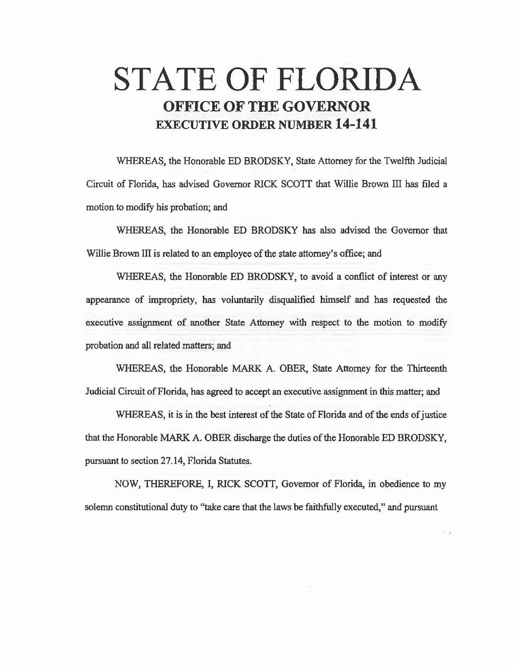## **STATE OF FLORIDA OFFICE OF THE GOVERNOR EXECUTIVE ORDER NUMBER 14-141**

WHEREAS, the Honorable ED BRODSKY, State Attorney for the Twelfth Judicial Circuit of Florida, has advised Governor RICK SCOTT that Willie Brown III has filed a motion to modify his probation; and

WHEREAS, the Honorable ED BRODSKY has also advised the Governor that Willie Brown III is related to an employee of the state attorney's office; and

WHEREAS, the Honorable ED BRODSKY, to avoid a conflict of interest or any appearance of impropriety, has voluntarily disqualified himself and has requested the executive assignment of another State Attorney with respect to the motion to modify probation and all related matters; and

WHEREAS, the Honorable MARK A. OBER, State Attorney for the Thirteenth Judicial Circuit of Florida, has agreed to accept an executive assignment in this matter; and

WHEREAS, it is in the best interest of the State of Florida and of the ends of justice that the Honorable MARK A. OBER discharge the duties of the Honorable ED BRODSKY, pursuant to section 27.14, Florida Statutes.

NOW, THEREFORE, I, RICK SCOTT, Governor of Florida, in obedience to my solemn constitutional duty to "take care that the laws be faithfully executed," and pursuant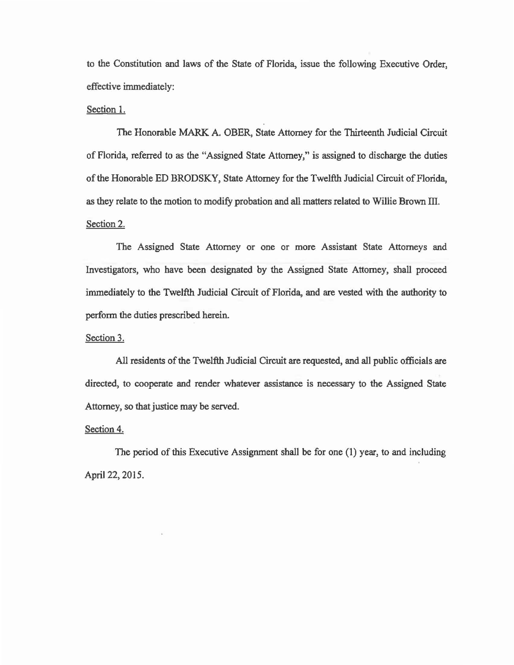to the Constitution and laws of the State of Florida, issue the following Executive Order, effective immediately:

## Section 1.

The Honorable MARK A. OBER, State Attorney for the Thirteenth Judicial Circuit of Florida, referred to as the "Assigned State Attorney," is assigned to discharge the duties of the Honorable ED BRODSKY, State Attorney for the Twelfth Judicial Circuit of Florida, as they relate to the motion to modify probation and all matters related to Willie Brown III. Section 2.

The Assigned State Attorney or one or more Assistant State Attorneys and Investigators, who have been designated by the Assigned State Attorney, shall proceed immediately to the Twelfth Judicial Circuit of Florida, and are vested with the authority to perform the duties prescribed herein.

## Section 3.

All residents of the Twelfth Judicial Circuit are requested, and all public officials are directed, to cooperate and render whatever assistance is necessary to the Assigned State Attorney, so that justice may be served.

## Section 4.

The period of this Executive Assignment shall be for one (1) year, to and including April 22, 2015.